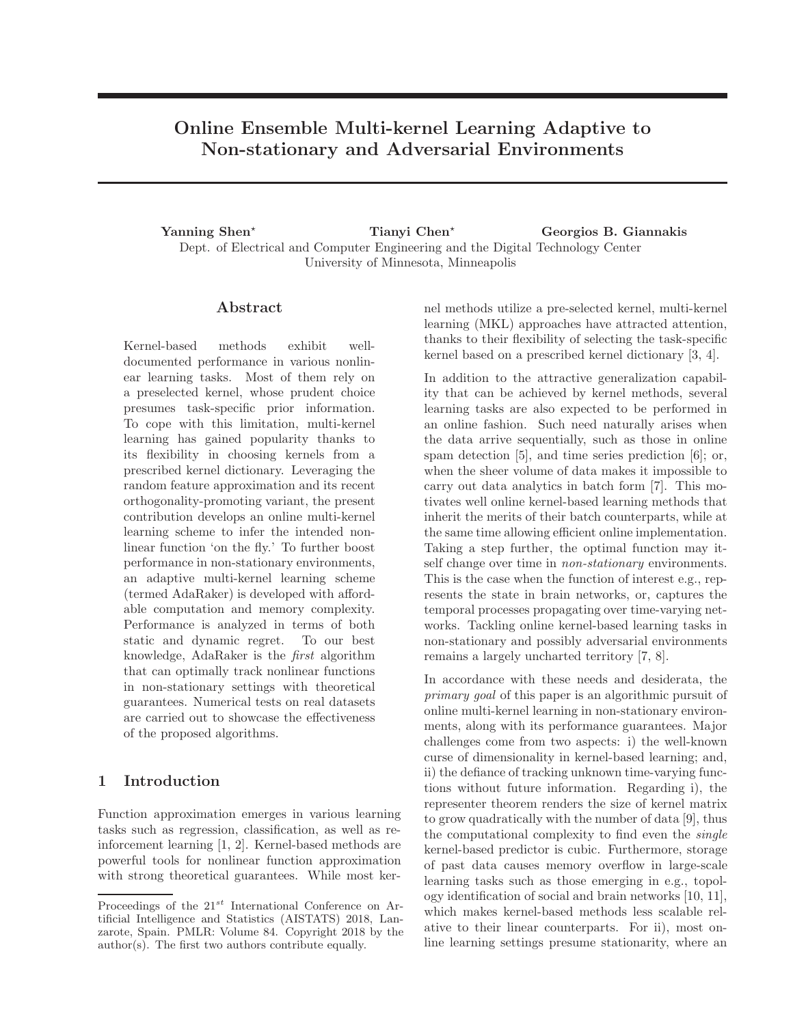# Online Ensemble Multi-kernel Learning Adaptive to Non-stationary and Adversarial Environments

Yanning Shen<sup>★</sup> Tianyi Chen<sup>★</sup> Georgios B. Giannakis Dept. of Electrical and Computer Engineering and the Digital Technology Center University of Minnesota, Minneapolis

### Abstract

Kernel-based methods exhibit welldocumented performance in various nonlinear learning tasks. Most of them rely on a preselected kernel, whose prudent choice presumes task-specific prior information. To cope with this limitation, multi-kernel learning has gained popularity thanks to its flexibility in choosing kernels from a prescribed kernel dictionary. Leveraging the random feature approximation and its recent orthogonality-promoting variant, the present contribution develops an online multi-kernel learning scheme to infer the intended nonlinear function 'on the fly.' To further boost performance in non-stationary environments, an adaptive multi-kernel learning scheme (termed AdaRaker) is developed with affordable computation and memory complexity. Performance is analyzed in terms of both static and dynamic regret. To our best knowledge, AdaRaker is the *first* algorithm that can optimally track nonlinear functions in non-stationary settings with theoretical guarantees. Numerical tests on real datasets are carried out to showcase the effectiveness of the proposed algorithms.

### 1 Introduction

Function approximation emerges in various learning tasks such as regression, classification, as well as reinforcement learning [1, 2]. Kernel-based methods are powerful tools for nonlinear function approximation with strong theoretical guarantees. While most kernel methods utilize a pre-selected kernel, multi-kernel learning (MKL) approaches have attracted attention, thanks to their flexibility of selecting the task-specific kernel based on a prescribed kernel dictionary [3, 4].

In addition to the attractive generalization capability that can be achieved by kernel methods, several learning tasks are also expected to be performed in an online fashion. Such need naturally arises when the data arrive sequentially, such as those in online spam detection [5], and time series prediction [6]; or, when the sheer volume of data makes it impossible to carry out data analytics in batch form [7]. This motivates well online kernel-based learning methods that inherit the merits of their batch counterparts, while at the same time allowing efficient online implementation. Taking a step further, the optimal function may itself change over time in *non-stationary* environments. This is the case when the function of interest e.g., represents the state in brain networks, or, captures the temporal processes propagating over time-varying networks. Tackling online kernel-based learning tasks in non-stationary and possibly adversarial environments remains a largely uncharted territory [7, 8].

In accordance with these needs and desiderata, the *primary goal* of this paper is an algorithmic pursuit of online multi-kernel learning in non-stationary environments, along with its performance guarantees. Major challenges come from two aspects: i) the well-known curse of dimensionality in kernel-based learning; and, ii) the defiance of tracking unknown time-varying functions without future information. Regarding i), the representer theorem renders the size of kernel matrix to grow quadratically with the number of data [9], thus the computational complexity to find even the *single* kernel-based predictor is cubic. Furthermore, storage of past data causes memory overflow in large-scale learning tasks such as those emerging in e.g., topology identification of social and brain networks [10, 11], which makes kernel-based methods less scalable relative to their linear counterparts. For ii), most online learning settings presume stationarity, where an

Proceedings of the  $21^{st}$  International Conference on Artificial Intelligence and Statistics (AISTATS) 2018, Lanzarote, Spain. PMLR: Volume 84. Copyright 2018 by the author(s). The first two authors contribute equally.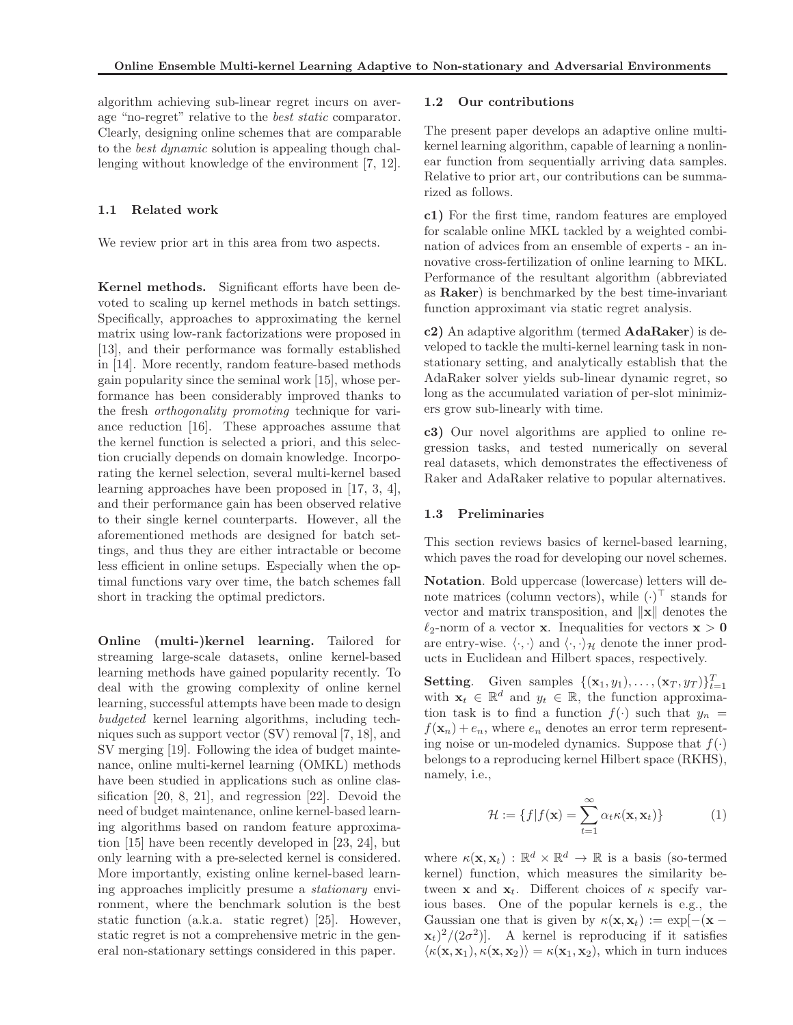algorithm achieving sub-linear regret incurs on average "no-regret" relative to the *best static* comparator. Clearly, designing online schemes that are comparable to the *best dynamic* solution is appealing though challenging without knowledge of the environment [7, 12].

#### 1.1 Related work

We review prior art in this area from two aspects.

Kernel methods. Significant efforts have been devoted to scaling up kernel methods in batch settings. Specifically, approaches to approximating the kernel matrix using low-rank factorizations were proposed in [13], and their performance was formally established in [14]. More recently, random feature-based methods gain popularity since the seminal work [15], whose performance has been considerably improved thanks to the fresh *orthogonality promoting* technique for variance reduction [16]. These approaches assume that the kernel function is selected a priori, and this selection crucially depends on domain knowledge. Incorporating the kernel selection, several multi-kernel based learning approaches have been proposed in [17, 3, 4], and their performance gain has been observed relative to their single kernel counterparts. However, all the aforementioned methods are designed for batch settings, and thus they are either intractable or become less efficient in online setups. Especially when the optimal functions vary over time, the batch schemes fall short in tracking the optimal predictors.

Online (multi-)kernel learning. Tailored for streaming large-scale datasets, online kernel-based learning methods have gained popularity recently. To deal with the growing complexity of online kernel learning, successful attempts have been made to design *budgeted* kernel learning algorithms, including techniques such as support vector (SV) removal [7, 18], and SV merging [19]. Following the idea of budget maintenance, online multi-kernel learning (OMKL) methods have been studied in applications such as online classification [20, 8, 21], and regression [22]. Devoid the need of budget maintenance, online kernel-based learning algorithms based on random feature approximation [15] have been recently developed in [23, 24], but only learning with a pre-selected kernel is considered. More importantly, existing online kernel-based learning approaches implicitly presume a *stationary* environment, where the benchmark solution is the best static function (a.k.a. static regret) [25]. However, static regret is not a comprehensive metric in the general non-stationary settings considered in this paper.

#### 1.2 Our contributions

The present paper develops an adaptive online multikernel learning algorithm, capable of learning a nonlinear function from sequentially arriving data samples. Relative to prior art, our contributions can be summarized as follows.

c1) For the first time, random features are employed for scalable online MKL tackled by a weighted combination of advices from an ensemble of experts - an innovative cross-fertilization of online learning to MKL. Performance of the resultant algorithm (abbreviated as Raker) is benchmarked by the best time-invariant function approximant via static regret analysis.

c2) An adaptive algorithm (termed AdaRaker) is developed to tackle the multi-kernel learning task in nonstationary setting, and analytically establish that the AdaRaker solver yields sub-linear dynamic regret, so long as the accumulated variation of per-slot minimizers grow sub-linearly with time.

c3) Our novel algorithms are applied to online regression tasks, and tested numerically on several real datasets, which demonstrates the effectiveness of Raker and AdaRaker relative to popular alternatives.

#### 1.3 Preliminaries

This section reviews basics of kernel-based learning, which paves the road for developing our novel schemes.

Notation. Bold uppercase (lowercase) letters will denote matrices (column vectors), while  $(\cdot)$ <sup> $\cdot$ </sup> stands for vector and matrix transposition, and  $\|\mathbf{x}\|$  denotes the  $\ell_2$ -norm of a vector **x**. Inequalities for vectors **x** > 0 are entry-wise.  $\langle \cdot, \cdot \rangle$  and  $\langle \cdot, \cdot \rangle_{\mathcal{H}}$  denote the inner products in Euclidean and Hilbert spaces, respectively.

**Setting.** Given samples  $\{(\mathbf{x}_1, y_1), \ldots, (\mathbf{x}_T, y_T)\}_{t=1}^T$ with  $\mathbf{x}_t \in \mathbb{R}^d$  and  $y_t \in \mathbb{R}$ , the function approximation task is to find a function  $f(.)$  such that  $y_n =$  $f(\mathbf{x}_n) + e_n$ , where  $e_n$  denotes an error term representing noise or un-modeled dynamics. Suppose that  $f(.)$ belongs to a reproducing kernel Hilbert space (RKHS), namely, i.e.,

$$
\mathcal{H} := \{ f | f(\mathbf{x}) = \sum_{t=1}^{\infty} \alpha_t \kappa(\mathbf{x}, \mathbf{x}_t) \}
$$
(1)

where  $\kappa(\mathbf{x}, \mathbf{x}_t) : \mathbb{R}^d \times \mathbb{R}^d \to \mathbb{R}$  is a basis (so-termed kernel) function, which measures the similarity between **x** and  $x_t$ . Different choices of  $\kappa$  specify various bases. One of the popular kernels is e.g., the Gaussian one that is given by  $\kappa(\mathbf{x}, \mathbf{x}_t) := \exp[-(\mathbf{x} (\mathbf{x}_t)^2/(2\sigma^2)$ . A kernel is reproducing if it satisfies  $\langle \kappa(\mathbf{x}, \mathbf{x}_1), \kappa(\mathbf{x}, \mathbf{x}_2) \rangle = \kappa(\mathbf{x}_1, \mathbf{x}_2),$  which in turn induces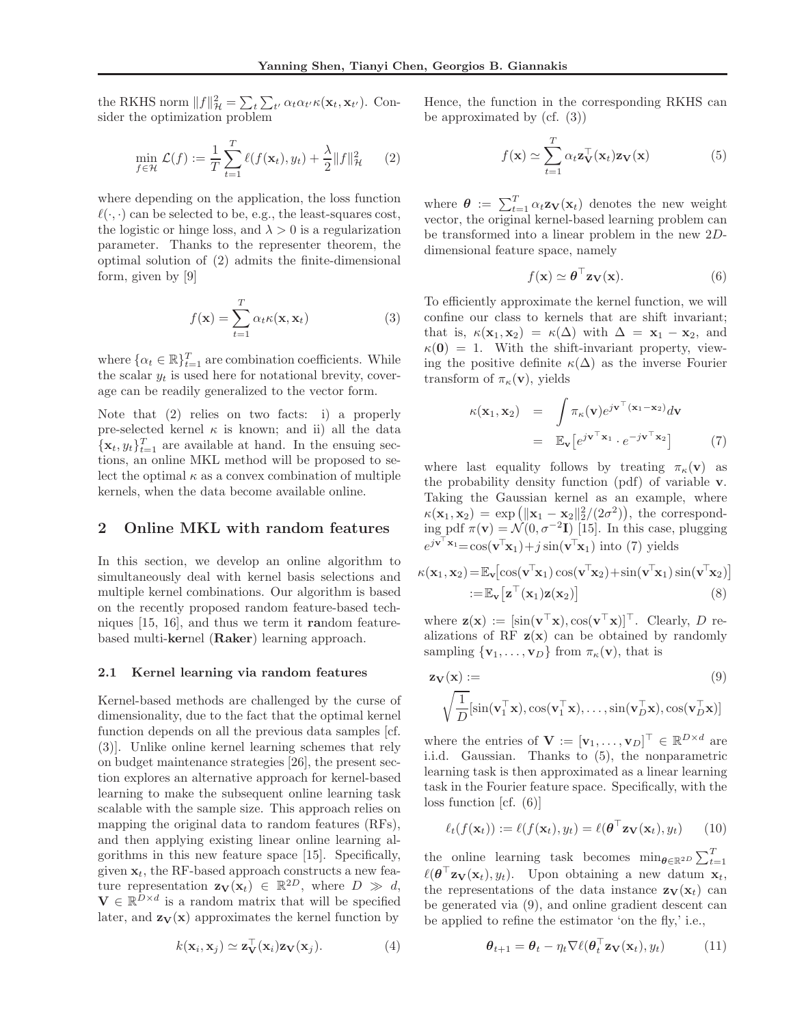the RKHS norm  $||f||_{\mathcal{H}}^2 = \sum_t \sum_{t'} \alpha_t \alpha_{t'} \kappa(\mathbf{x}_t, \mathbf{x}_{t'})$ . Consider the optimization problem

$$
\min_{f \in \mathcal{H}} \mathcal{L}(f) := \frac{1}{T} \sum_{t=1}^{T} \ell(f(\mathbf{x}_t), y_t) + \frac{\lambda}{2} ||f||_{\mathcal{H}}^2 \qquad (2)
$$

where depending on the application, the loss function  $\ell(\cdot, \cdot)$  can be selected to be, e.g., the least-squares cost, the logistic or hinge loss, and  $\lambda > 0$  is a regularization parameter. Thanks to the representer theorem, the optimal solution of (2) admits the finite-dimensional form, given by [9]

$$
f(\mathbf{x}) = \sum_{t=1}^{T} \alpha_t \kappa(\mathbf{x}, \mathbf{x}_t)
$$
 (3)

where  $\{\alpha_t \in \mathbb{R}\}_{t=1}^T$  are combination coefficients. While the scalar  $y_t$  is used here for notational brevity, coverage can be readily generalized to the vector form.

Note that (2) relies on two facts: i) a properly pre-selected kernel  $\kappa$  is known; and ii) all the data  $\{\mathbf x_t, y_t\}_{t=1}^T$  are available at hand. In the ensuing sections, an online MKL method will be proposed to select the optimal  $\kappa$  as a convex combination of multiple kernels, when the data become available online.

### 2 Online MKL with random features

In this section, we develop an online algorithm to simultaneously deal with kernel basis selections and multiple kernel combinations. Our algorithm is based on the recently proposed random feature-based techniques [15, 16], and thus we term it random featurebased multi-kernel (Raker) learning approach.

#### 2.1 Kernel learning via random features

Kernel-based methods are challenged by the curse of dimensionality, due to the fact that the optimal kernel function depends on all the previous data samples [cf. (3)]. Unlike online kernel learning schemes that rely on budget maintenance strategies [26], the present section explores an alternative approach for kernel-based learning to make the subsequent online learning task scalable with the sample size. This approach relies on mapping the original data to random features (RFs), and then applying existing linear online learning algorithms in this new feature space [15]. Specifically, given  $\mathbf{x}_t$ , the RF-based approach constructs a new feature representation  $\mathbf{z}_{\mathbf{V}}(\mathbf{x}_t) \in \mathbb{R}^{2D}$ , where  $D \gg d$ ,  $\mathbf{V} \in \mathbb{R}^{D \times d}$  is a random matrix that will be specified later, and  $\mathbf{z}_{\mathbf{V}}(\mathbf{x})$  approximates the kernel function by

$$
k(\mathbf{x}_i, \mathbf{x}_j) \simeq \mathbf{z}_{\mathbf{V}}^\top(\mathbf{x}_i) \mathbf{z}_{\mathbf{V}}(\mathbf{x}_j). \tag{4}
$$

Hence, the function in the corresponding RKHS can be approximated by  $(cf. (3))$ 

$$
f(\mathbf{x}) \simeq \sum_{t=1}^{T} \alpha_t \mathbf{z}_{\mathbf{V}}^{\top}(\mathbf{x}_t) \mathbf{z}_{\mathbf{V}}(\mathbf{x}) \tag{5}
$$

where  $\boldsymbol{\theta} := \sum_{t=1}^{T} \alpha_t \mathbf{z}_{\mathbf{V}}(\mathbf{x}_t)$  denotes the new weight vector, the original kernel-based learning problem can be transformed into a linear problem in the new 2Ddimensional feature space, namely

$$
f(\mathbf{x}) \simeq \boldsymbol{\theta}^{\top} \mathbf{z}_{\mathbf{V}}(\mathbf{x}). \tag{6}
$$

To efficiently approximate the kernel function, we will confine our class to kernels that are shift invariant; that is,  $\kappa(\mathbf{x}_1, \mathbf{x}_2) = \kappa(\Delta)$  with  $\Delta = \mathbf{x}_1 - \mathbf{x}_2$ , and  $\kappa(0) = 1$ . With the shift-invariant property, viewing the positive definite  $\kappa(\Delta)$  as the inverse Fourier transform of  $\pi_{\kappa}(\mathbf{v})$ , yields

$$
\kappa(\mathbf{x}_1, \mathbf{x}_2) = \int \pi_{\kappa}(\mathbf{v}) e^{j\mathbf{v}^\top (\mathbf{x}_1 - \mathbf{x}_2)} d\mathbf{v}
$$
  
= 
$$
\mathbb{E}_{\mathbf{v}} \left[ e^{j\mathbf{v}^\top \mathbf{x}_1} \cdot e^{-j\mathbf{v}^\top \mathbf{x}_2} \right]
$$
 (7)

where last equality follows by treating  $\pi_{\kappa}(\mathbf{v})$  as the probability density function (pdf) of variable v. Taking the Gaussian kernel as an example, where  $\kappa(\mathbf{x}_1, \mathbf{x}_2) = \exp\left(\|\mathbf{x}_1 - \mathbf{x}_2\|_2^2/(2\sigma^2)\right)$ , the correspond- $\lim_{\tau \to 0} \text{pdf } \pi(\mathbf{v}) = \mathcal{N}(0, \sigma^{-2}\mathbf{I})$  [15]. In this case, plugging  $e^{j\mathbf{v}^\top\mathbf{x}_1} = \cos(\mathbf{v}^\top\mathbf{x}_1) + j\sin(\mathbf{v}^\top\mathbf{x}_1)$  into (7) yields

$$
\kappa(\mathbf{x}_1, \mathbf{x}_2) = \mathbb{E}_{\mathbf{v}} [\cos(\mathbf{v}^T \mathbf{x}_1) \cos(\mathbf{v}^T \mathbf{x}_2) + \sin(\mathbf{v}^T \mathbf{x}_1) \sin(\mathbf{v}^T \mathbf{x}_2)]
$$
  
 :=  $\mathbb{E}_{\mathbf{v}} [\mathbf{z}^T (\mathbf{x}_1) \mathbf{z} (\mathbf{x}_2)]$  (8)

where  $\mathbf{z}(\mathbf{x}) := [\sin(\mathbf{v}^\top \mathbf{x}), \cos(\mathbf{v}^\top \mathbf{x})]^\top$ . Clearly, D realizations of RF  $z(x)$  can be obtained by randomly sampling  $\{v_1, \ldots, v_D\}$  from  $\pi_{\kappa}(v)$ , that is

$$
\mathbf{z}_{\mathbf{V}}(\mathbf{x}) := (9)
$$
  

$$
\sqrt{\frac{1}{D}}[\sin(\mathbf{v}_1^{\top}\mathbf{x}), \cos(\mathbf{v}_1^{\top}\mathbf{x}), \dots, \sin(\mathbf{v}_D^{\top}\mathbf{x}), \cos(\mathbf{v}_D^{\top}\mathbf{x})]
$$

where the entries of  $\mathbf{V} := [\mathbf{v}_1, \dots, \mathbf{v}_D]^\top \in \mathbb{R}^{D \times d}$  are i.i.d. Gaussian. Thanks to (5), the nonparametric learning task is then approximated as a linear learning task in the Fourier feature space. Specifically, with the loss function [cf. (6)]

$$
\ell_t(f(\mathbf{x}_t)) := \ell(f(\mathbf{x}_t), y_t) = \ell(\boldsymbol{\theta}^\top \mathbf{z}_\mathbf{V}(\mathbf{x}_t), y_t) \qquad (10)
$$

the online learning task becomes  $\min_{\theta \in \mathbb{R}^{2D}} \sum_{t=1}^{T}$  $\ell(\boldsymbol{\theta}^\top \mathbf{z}_{\mathbf{V}}(\mathbf{x}_t), y_t)$ . Upon obtaining a new datum  $\mathbf{x}_t$ , the representations of the data instance  $\mathbf{z}_{\mathbf{V}}(\mathbf{x}_t)$  can be generated via (9), and online gradient descent can be applied to refine the estimator 'on the fly,' i.e.,

$$
\boldsymbol{\theta}_{t+1} = \boldsymbol{\theta}_t - \eta_t \nabla \ell(\boldsymbol{\theta}_t^\top \mathbf{z}_\mathbf{V}(\mathbf{x}_t), y_t)
$$
(11)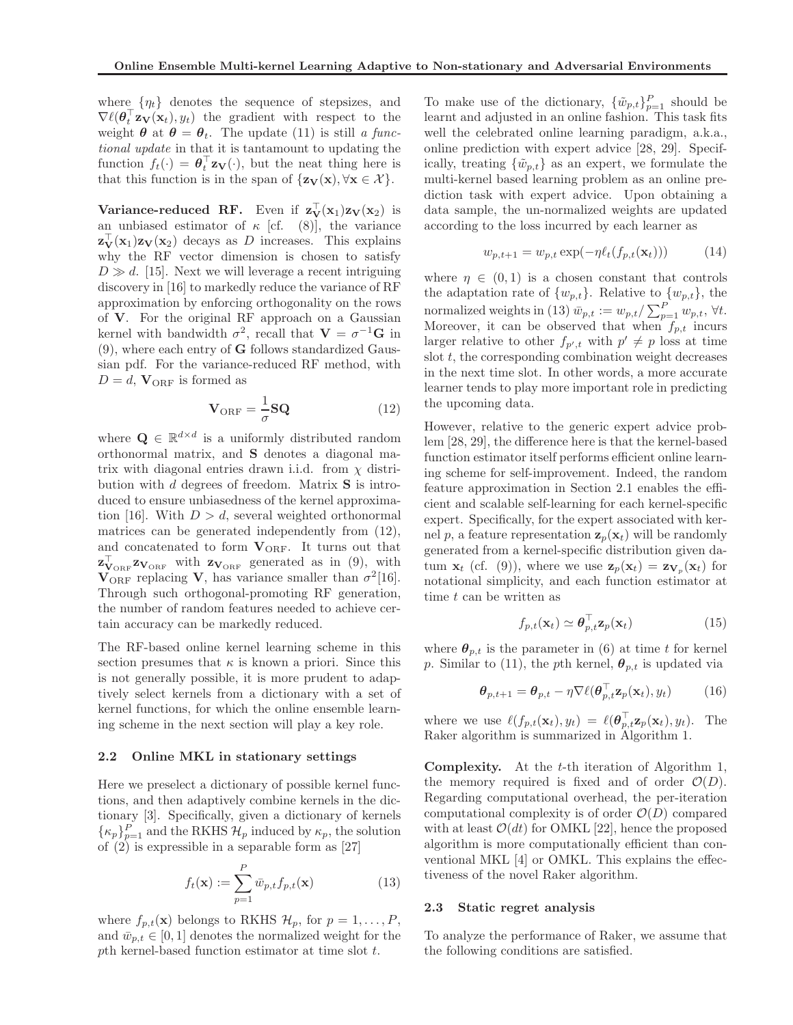where  $\{\eta_t\}$  denotes the sequence of stepsizes, and  $\nabla \ell(\boldsymbol{\theta}_t^{\top} \mathbf{z}_{\mathbf{V}}(\mathbf{x}_t), y_t)$  the gradient with respect to the weight  $\theta$  at  $\theta = \theta_t$ . The update (11) is still *a functional update* in that it is tantamount to updating the function  $f_t(\cdot) = \boldsymbol{\theta}_t^{\top} \mathbf{z}_{\mathbf{V}}(\cdot)$ , but the neat thing here is that this function is in the span of  $\{z_V(x), \forall x \in \mathcal{X}\}.$ 

Variance-reduced RF. Even if  $z_V(x_1)z_V(x_2)$  is an unbiased estimator of  $\kappa$  [cf. (8)], the variance  $\mathbf{z}_{\mathbf{V}}^{\perp}(\mathbf{x}_1)\mathbf{z}_{\mathbf{V}}(\mathbf{x}_2)$  decays as D increases. This explains why the RF vector dimension is chosen to satisfy  $D \gg d$ . [15]. Next we will leverage a recent intriguing discovery in [16] to markedly reduce the variance of RF approximation by enforcing orthogonality on the rows of V. For the original RF approach on a Gaussian kernel with bandwidth  $\sigma^2$ , recall that  $\mathbf{V} = \sigma^{-1} \mathbf{G}$  in (9), where each entry of G follows standardized Gaussian pdf. For the variance-reduced RF method, with  $D = d$ ,  $\mathbf{V}_{ORF}$  is formed as

$$
\mathbf{V}_{\text{ORF}} = \frac{1}{\sigma} \mathbf{SQ} \tag{12}
$$

where  $\mathbf{Q} \in \mathbb{R}^{d \times d}$  is a uniformly distributed random orthonormal matrix, and S denotes a diagonal matrix with diagonal entries drawn i.i.d. from  $\chi$  distribution with  $d$  degrees of freedom. Matrix  $S$  is introduced to ensure unbiasedness of the kernel approximation [16]. With  $D > d$ , several weighted orthonormal matrices can be generated independently from (12), and concatenated to form  $\mathbf{V}_{\text{ORF}}.$  It turns out that  $\mathbf{z}_{\mathbf{V}_{\text{ORF}}}^{\mathbf{V}_{\text{ORF}}}$  with  $\mathbf{z}_{\mathbf{V}_{\text{ORF}}}$  generated as in (9), with  $V_{ORF}$  replacing V, has variance smaller than  $\sigma^2[16]$ . Through such orthogonal-promoting RF generation, the number of random features needed to achieve certain accuracy can be markedly reduced.

The RF-based online kernel learning scheme in this section presumes that  $\kappa$  is known a priori. Since this is not generally possible, it is more prudent to adaptively select kernels from a dictionary with a set of kernel functions, for which the online ensemble learning scheme in the next section will play a key role.

#### 2.2 Online MKL in stationary settings

Here we preselect a dictionary of possible kernel functions, and then adaptively combine kernels in the dictionary [3]. Specifically, given a dictionary of kernels  $\{\kappa_p\}_{p=1}^P$  and the RKHS  $\mathcal{H}_p$  induced by  $\kappa_p$ , the solution of (2) is expressible in a separable form as [27]

$$
f_t(\mathbf{x}) := \sum_{p=1}^P \bar{w}_{p,t} f_{p,t}(\mathbf{x})
$$
\n(13)

where  $f_{p,t}(\mathbf{x})$  belongs to RKHS  $\mathcal{H}_p$ , for  $p = 1, \ldots, P$ , and  $\bar{w}_{p,t} \in [0,1]$  denotes the normalized weight for the pth kernel-based function estimator at time slot t.

To make use of the dictionary,  $\{\tilde{w}_{p,t}\}_{p=1}^P$  should be learnt and adjusted in an online fashion. This task fits well the celebrated online learning paradigm, a.k.a., online prediction with expert advice [28, 29]. Specifically, treating  $\{\tilde{w}_{p,t}\}\$ as an expert, we formulate the multi-kernel based learning problem as an online prediction task with expert advice. Upon obtaining a data sample, the un-normalized weights are updated according to the loss incurred by each learner as

$$
w_{p,t+1} = w_{p,t} \exp(-\eta \ell_t(f_{p,t}(\mathbf{x}_t))) \tag{14}
$$

where  $\eta \in (0,1)$  is a chosen constant that controls the adaptation rate of  $\{w_{p,t}\}$ . Relative to  $\{w_{p,t}\}$ , the normalized weights in (13)  $\bar{w}_{p,t} := w_{p,t}/\sum_{p=1}^{P} w_{p,t}, \forall t.$ Moreover, it can be observed that when  $f_{p,t}$  incurs larger relative to other  $f_{p',t}$  with  $p' \neq p$  loss at time slot  $t$ , the corresponding combination weight decreases in the next time slot. In other words, a more accurate learner tends to play more important role in predicting the upcoming data.

However, relative to the generic expert advice problem [28, 29], the difference here is that the kernel-based function estimator itself performs efficient online learning scheme for self-improvement. Indeed, the random feature approximation in Section 2.1 enables the efficient and scalable self-learning for each kernel-specific expert. Specifically, for the expert associated with kernel p, a feature representation  $\mathbf{z}_p(\mathbf{x}_t)$  will be randomly generated from a kernel-specific distribution given datum  $\mathbf{x}_t$  (cf. (9)), where we use  $\mathbf{z}_p(\mathbf{x}_t) = \mathbf{z}_{\mathbf{V}_p}(\mathbf{x}_t)$  for notational simplicity, and each function estimator at time t can be written as

$$
f_{p,t}(\mathbf{x}_t) \simeq \boldsymbol{\theta}_{p,t}^{\top} \mathbf{z}_p(\mathbf{x}_t)
$$
 (15)

where  $\theta_{p,t}$  is the parameter in (6) at time t for kernel p. Similar to (11), the pth kernel,  $\theta_{p,t}$  is updated via

$$
\boldsymbol{\theta}_{p,t+1} = \boldsymbol{\theta}_{p,t} - \eta \nabla \ell(\boldsymbol{\theta}_{p,t}^{\top} \mathbf{z}_p(\mathbf{x}_t), y_t)
$$
(16)

where we use  $\ell(f_{p,t}(\mathbf{x}_t), y_t) = \ell(\boldsymbol{\theta}_{p,t}^{\top} \mathbf{z}_p(\mathbf{x}_t), y_t)$ . The Raker algorithm is summarized in Algorithm 1.

Complexity. At the t-th iteration of Algorithm 1, the memory required is fixed and of order  $\mathcal{O}(D)$ . Regarding computational overhead, the per-iteration computational complexity is of order  $\mathcal{O}(D)$  compared with at least  $\mathcal{O}(dt)$  for OMKL [22], hence the proposed algorithm is more computationally efficient than conventional MKL [4] or OMKL. This explains the effectiveness of the novel Raker algorithm.

#### 2.3 Static regret analysis

To analyze the performance of Raker, we assume that the following conditions are satisfied.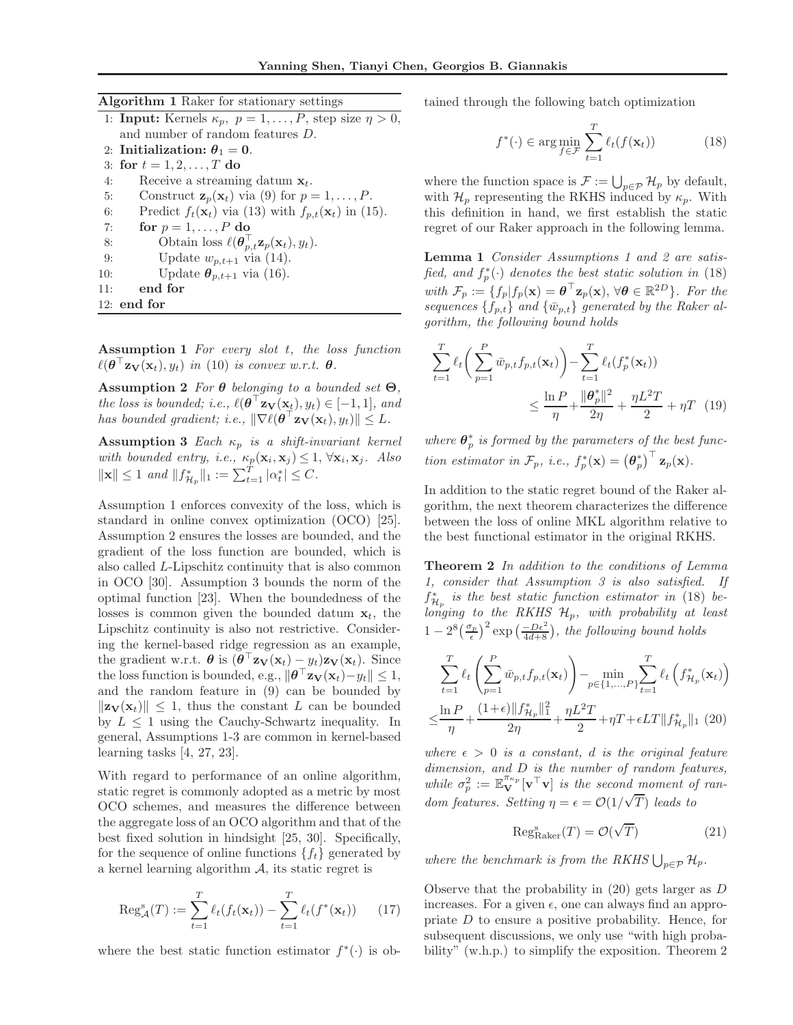| Algorithm 1 Raker for stationary settings |  |  |  |  |  |
|-------------------------------------------|--|--|--|--|--|
|-------------------------------------------|--|--|--|--|--|

| 1: <b>Input:</b> Kernels $\kappa_p$ , $p = 1, \ldots, P$ , step size $\eta > 0$ ,            |  |
|----------------------------------------------------------------------------------------------|--|
| and number of random features $D$ .                                                          |  |
| 2: Initialization: $\theta_1 = 0$ .                                                          |  |
| 3: for $t = 1, 2, , T$ do                                                                    |  |
| Receive a streaming datum $x_t$ .<br>4:                                                      |  |
| Construct $\mathbf{z}_p(\mathbf{x}_t)$ via (9) for $p = 1, \ldots, P$ .<br>5:                |  |
| Predict $f_t(\mathbf{x}_t)$ via (13) with $f_{p,t}(\mathbf{x}_t)$ in (15).<br>6:             |  |
| for $p = 1, \ldots, P$ do<br>7:                                                              |  |
| Obtain loss $\ell(\boldsymbol{\theta}_{p,t}^{\top} \mathbf{z}_p(\mathbf{x}_t), y_t)$ .<br>8: |  |
| Update $w_{p,t+1}$ via (14).<br>9:                                                           |  |
| Update $\theta_{p,t+1}$ via (16).<br>10:                                                     |  |
| end for<br>11:                                                                               |  |
| $12:$ end for                                                                                |  |

Assumption 1 *For every slot* t*, the loss function*  $\ell(\boldsymbol{\theta}^\top \mathbf{z}_{\mathbf{V}}(\mathbf{x}_t), y_t)$  *in* (10) *is convex w.r.t.*  $\boldsymbol{\theta}$ *.* 

Assumption 2 *For* θ *belonging to a bounded set* Θ*, the loss is bounded; i.e.,*  $\ell(\boldsymbol{\theta}^\top \mathbf{z}_{\mathbf{V}}(\mathbf{x}_t), y_t) \in [-1,1]$ *, and has bounded gradient; i.e.,*  $\|\nabla \ell(\boldsymbol{\theta}^\top \mathbf{z}_{\mathbf{V}}(\mathbf{x}_t), y_t)\| \leq L$ .

Assumption 3 *Each*  $\kappa_p$  *is a shift-invariant kernel* with bounded entry, *i.e.*,  $\kappa_p(\mathbf{x}_i, \mathbf{x}_j) \leq 1, \forall \mathbf{x}_i, \mathbf{x}_j$ . Also  $\|\mathbf{x}\| \leq 1$  *and*  $\|f_{\mathcal{H}_p}^*\|_1 := \sum_{t=1}^T |\alpha_t^*| \leq C.$ 

Assumption 1 enforces convexity of the loss, which is standard in online convex optimization (OCO) [25]. Assumption 2 ensures the losses are bounded, and the gradient of the loss function are bounded, which is also called L-Lipschitz continuity that is also common in OCO [30]. Assumption 3 bounds the norm of the optimal function [23]. When the boundedness of the losses is common given the bounded datum  $x_t$ , the Lipschitz continuity is also not restrictive. Considering the kernel-based ridge regression as an example, the gradient w.r.t.  $\boldsymbol{\theta}$  is  $(\boldsymbol{\theta}^{\top} \mathbf{z}_{\mathbf{V}}(\mathbf{x}_t) - y_t) \mathbf{z}_{\mathbf{V}}(\mathbf{x}_t)$ . Since the loss function is bounded, e.g.,  $\|\boldsymbol{\theta}^\top \mathbf{z}_\mathbf{V}(\mathbf{x}_t) - y_t\| \leq 1$ , and the random feature in (9) can be bounded by  $\Vert \mathbf{z}_{\mathbf{V}}(\mathbf{x}_t) \Vert \leq 1$ , thus the constant L can be bounded by  $L \leq 1$  using the Cauchy-Schwartz inequality. In general, Assumptions 1-3 are common in kernel-based learning tasks [4, 27, 23].

With regard to performance of an online algorithm, static regret is commonly adopted as a metric by most OCO schemes, and measures the difference between the aggregate loss of an OCO algorithm and that of the best fixed solution in hindsight [25, 30]. Specifically, for the sequence of online functions  $\{f_t\}$  generated by a kernel learning algorithm  $A$ , its static regret is

$$
\operatorname{Reg}_{\mathcal{A}}^s(T) := \sum_{t=1}^T \ell_t(f_t(\mathbf{x}_t)) - \sum_{t=1}^T \ell_t(f^*(\mathbf{x}_t)) \qquad (17)
$$

where the best static function estimator  $f^*(\cdot)$  is ob-

tained through the following batch optimization

$$
f^*(\cdot) \in \arg\min_{f \in \mathcal{F}} \sum_{t=1}^T \ell_t(f(\mathbf{x}_t)) \tag{18}
$$

where the function space is  $\mathcal{F} := \bigcup_{p \in \mathcal{P}} \mathcal{H}_p$  by default, with  $\mathcal{H}_p$  representing the RKHS induced by  $\kappa_p$ . With this definition in hand, we first establish the static regret of our Raker approach in the following lemma.

Lemma 1 *Consider Assumptions 1 and 2 are satis*fied, and  $f_p^*(\cdot)$  denotes the best static solution in (18) with  $\mathcal{F}_p := \{f_p | f_p(\mathbf{x}) = \boldsymbol{\theta}^\top \mathbf{z}_p(\mathbf{x}), \forall \boldsymbol{\theta} \in \mathbb{R}^{2D}\}\.$  For the sequences  $\{f_{p,t}\}\$  and  $\{\bar{w}_{p,t}\}\$  generated by the Raker al*gorithm, the following bound holds*

$$
\sum_{t=1}^{T} \ell_t \left( \sum_{p=1}^{P} \bar{w}_{p,t} f_{p,t}(\mathbf{x}_t) \right) - \sum_{t=1}^{T} \ell_t(f_p^*(\mathbf{x}_t))
$$
\n
$$
\leq \frac{\ln P}{\eta} + \frac{\|\theta_p^*\|^2}{2\eta} + \frac{\eta L^2 T}{2} + \eta T \tag{19}
$$

where  $\mathbf{\theta}_p^*$  is formed by the parameters of the best func*tion estimator in*  $\mathcal{F}_p$ *, i.e.,*  $f_p^*(\mathbf{x}) = (\boldsymbol{\theta}_p^*)^\top \mathbf{z}_p(\mathbf{x})$ *.* 

In addition to the static regret bound of the Raker algorithm, the next theorem characterizes the difference between the loss of online MKL algorithm relative to the best functional estimator in the original RKHS.

Theorem 2 *In addition to the conditions of Lemma 1, consider that Assumption 3 is also satisfied. If*  $f_{\mathcal{H}_n}^*$  is the best static function estimator in (18) be-Hp *longing to the RKHS* Hp*, with probability at least*  $1-2^8\left(\frac{\sigma_p}{\epsilon}\right)^2 \exp\left(\frac{-De^2}{4d+8}\right)$ , the following bound holds

$$
\sum_{t=1}^{T} \ell_t \left( \sum_{p=1}^{P} \bar{w}_{p,t} f_{p,t}(\mathbf{x}_t) \right) - \min_{p \in \{1, ..., P\}} \sum_{t=1}^{T} \ell_t \left( f_{\mathcal{H}_p}^*(\mathbf{x}_t) \right)
$$

$$
\leq \frac{\ln P}{\eta} + \frac{(1+\epsilon) \| f_{\mathcal{H}_p}^*\|_1^2}{2\eta} + \frac{\eta L^2 T}{2} + \eta T + \epsilon L T \| f_{\mathcal{H}_p}^*\|_1 \tag{20}
$$

where  $\epsilon > 0$  *is a constant, d is the original feature dimension, and* D *is the number of random features,* while  $\sigma_p^2 := \mathbb{E}_{\mathbf{V}}^{\pi_{\kappa_p}}[\mathbf{v}^\top \mathbf{v}]$  *is the second moment of random features.* Setting  $\eta = \epsilon = \mathcal{O}(1/\sqrt{T})$  leads to

$$
Reg_{Raker}^{s}(T) = \mathcal{O}(\sqrt{T})
$$
 (21)

where the benchmark is from the RKHS  $\bigcup_{p \in \mathcal{P}} \mathcal{H}_p$ .

Observe that the probability in (20) gets larger as D increases. For a given  $\epsilon$ , one can always find an appropriate D to ensure a positive probability. Hence, for subsequent discussions, we only use "with high probability" (w.h.p.) to simplify the exposition. Theorem 2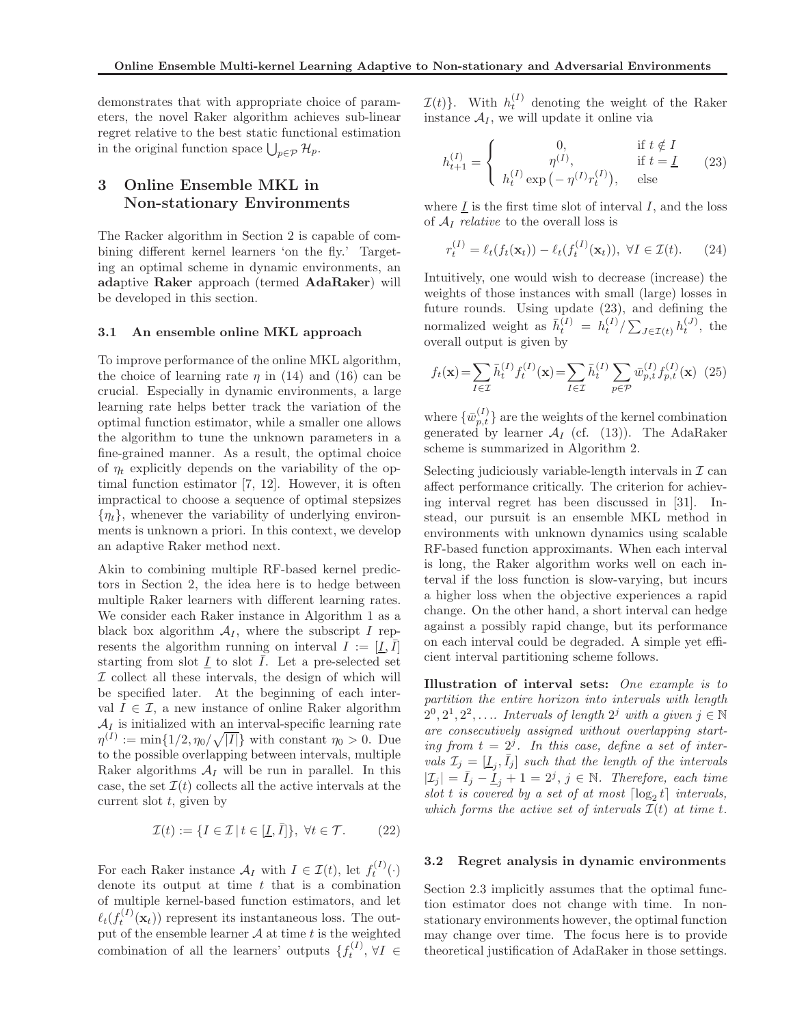demonstrates that with appropriate choice of parameters, the novel Raker algorithm achieves sub-linear regret relative to the best static functional estimation in the original function space  $\bigcup_{p\in\mathcal{P}}\mathcal{H}_p$ .

## 3 Online Ensemble MKL in Non-stationary Environments

The Racker algorithm in Section 2 is capable of combining different kernel learners 'on the fly.' Targeting an optimal scheme in dynamic environments, an adaptive Raker approach (termed AdaRaker) will be developed in this section.

### 3.1 An ensemble online MKL approach

To improve performance of the online MKL algorithm, the choice of learning rate  $\eta$  in (14) and (16) can be crucial. Especially in dynamic environments, a large learning rate helps better track the variation of the optimal function estimator, while a smaller one allows the algorithm to tune the unknown parameters in a fine-grained manner. As a result, the optimal choice of  $\eta_t$  explicitly depends on the variability of the optimal function estimator [7, 12]. However, it is often impractical to choose a sequence of optimal stepsizes  ${n<sub>t</sub>}$ , whenever the variability of underlying environments is unknown a priori. In this context, we develop an adaptive Raker method next.

Akin to combining multiple RF-based kernel predictors in Section 2, the idea here is to hedge between multiple Raker learners with different learning rates. We consider each Raker instance in Algorithm 1 as a black box algorithm  $A_I$ , where the subscript I represents the algorithm running on interval  $I := [\underline{I}, \overline{I}]$ starting from slot  $\underline{I}$  to slot  $\overline{I}$ . Let a pre-selected set  $I$  collect all these intervals, the design of which will be specified later. At the beginning of each interval  $I \in \mathcal{I}$ , a new instance of online Raker algorithm  $A_I$  is initialized with an interval-specific learning rate  $\eta^{(I)} := \min\{1/2, \eta_0/\sqrt{|I|}\}\$  with constant  $\eta_0 > 0$ . Due to the possible overlapping between intervals, multiple Raker algorithms  $A_I$  will be run in parallel. In this case, the set  $\mathcal{I}(t)$  collects all the active intervals at the current slot  $t$ , given by

$$
\mathcal{I}(t) := \{ I \in \mathcal{I} \mid t \in [\underline{I}, \overline{I}] \}, \ \forall t \in \mathcal{T}.
$$
 (22)

For each Raker instance  $\mathcal{A}_I$  with  $I \in \mathcal{I}(t)$ , let  $f_t^{(I)}(\cdot)$ denote its output at time  $t$  that is a combination of multiple kernel-based function estimators, and let  $\ell_t(f_t^{(I)}(\mathbf{x}_t))$  represent its instantaneous loss. The output of the ensemble learner  $A$  at time  $t$  is the weighted combination of all the learners' outputs  $\{f_t^{(I)}, \forall I \in$ 

 $\mathcal{I}(t)$ . With  $h_t^{(I)}$  denoting the weight of the Raker instance  $A_I$ , we will update it online via

$$
h_{t+1}^{(I)} = \begin{cases} 0, & \text{if } t \notin I \\ \eta^{(I)}, & \text{if } t = \underline{I} \\ h_t^{(I)} \exp(-\eta^{(I)} r_t^{(I)}), & \text{else} \end{cases}
$$
(23)

where  $\underline{I}$  is the first time slot of interval  $I$ , and the loss of A<sup>I</sup> *relative* to the overall loss is

$$
r_t^{(I)} = \ell_t(f_t(\mathbf{x}_t)) - \ell_t(f_t^{(I)}(\mathbf{x}_t)), \ \forall I \in \mathcal{I}(t). \tag{24}
$$

Intuitively, one would wish to decrease (increase) the weights of those instances with small (large) losses in future rounds. Using update (23), and defining the normalized weight as  $\bar{h}_t^{(I)} = h_t^{(I)} / \sum_{J \in \mathcal{I}(t)} h_t^{(J)}$ , the overall output is given by

$$
f_t(\mathbf{x}) = \sum_{I \in \mathcal{I}} \bar{h}_t^{(I)} f_t^{(I)}(\mathbf{x}) = \sum_{I \in \mathcal{I}} \bar{h}_t^{(I)} \sum_{p \in \mathcal{P}} \bar{w}_{p,t}^{(I)} f_{p,t}^{(I)}(\mathbf{x}) \tag{25}
$$

where  $\{\bar{w}_{p,t}^{(I)}\}$  are the weights of the kernel combination generated by learner  $A_I$  (cf. (13)). The AdaRaker scheme is summarized in Algorithm 2.

Selecting judiciously variable-length intervals in  $\mathcal I$  can affect performance critically. The criterion for achieving interval regret has been discussed in [31]. Instead, our pursuit is an ensemble MKL method in environments with unknown dynamics using scalable RF-based function approximants. When each interval is long, the Raker algorithm works well on each interval if the loss function is slow-varying, but incurs a higher loss when the objective experiences a rapid change. On the other hand, a short interval can hedge against a possibly rapid change, but its performance on each interval could be degraded. A simple yet efficient interval partitioning scheme follows.

Illustration of interval sets: *One example is to partition the entire horizon into intervals with length*  $2^0, 2^1, 2^2, \ldots$  *Intervals of length*  $2^j$  *with a given*  $j \in \mathbb{N}$ *are consecutively assigned without overlapping start*ing from  $t = 2^j$ . In this case, define a set of inter*vals*  $\mathcal{I}_j = [\underline{I}_j, \overline{I}_j]$  *such that the length of the intervals*  $|\mathcal{I}_j| = \bar{I}_j - \underline{I}_j + 1 = 2^j, j \in \mathbb{N}$ . Therefore, each time  $slot\ t\ is\ covered\ by\ a\ set\ of\ at\ most\ \left[\log_2 t\right]\ intervals,$ *which forms the active set of intervals*  $\mathcal{I}(t)$  *at time t.* 

### 3.2 Regret analysis in dynamic environments

Section 2.3 implicitly assumes that the optimal function estimator does not change with time. In nonstationary environments however, the optimal function may change over time. The focus here is to provide theoretical justification of AdaRaker in those settings.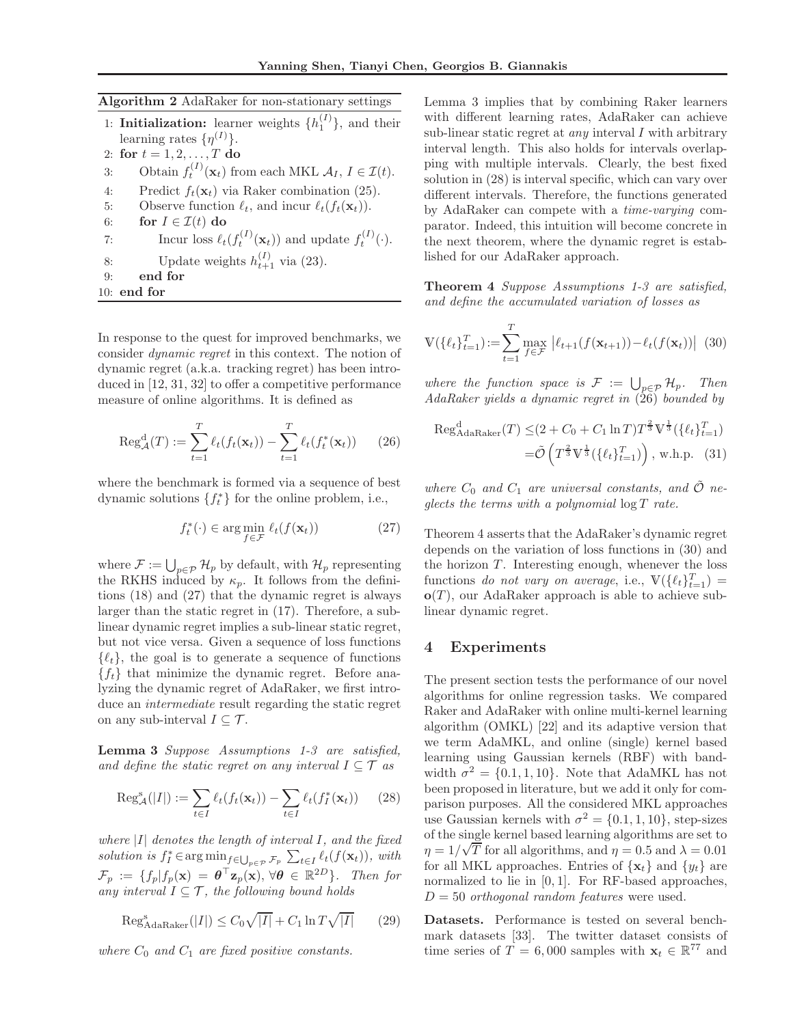|  |  |  |  | Algorithm 2 AdaRaker for non-stationary settings |  |
|--|--|--|--|--------------------------------------------------|--|
|--|--|--|--|--------------------------------------------------|--|

- 1: **Initialization:** learner weights  $\{h_1^{(I)}\}$ , and their learning rates  $\{\eta^{(I)}\}.$
- 2: for  $t = 1, 2, ..., T$  do 3: Obtain  $f_t^{(I)}(\mathbf{x}_t)$  from each MKL  $A_I, I \in \mathcal{I}(t)$ . 4: Predict  $f_t(\mathbf{x}_t)$  via Raker combination (25). 5: Observe function  $\ell_t$ , and incur  $\ell_t(f_t(\mathbf{x}_t))$ . 6: for  $I \in \mathcal{I}(t)$  do 7: Incur loss  $\ell_t(f_t^{(I)}(\mathbf{x}_t))$  and update  $f_t^{(I)}(\cdot)$ . 8: Update weights  $h_{t+1}^{(I)}$  via (23). 9: end for 10: end for

In response to the quest for improved benchmarks, we consider *dynamic regret* in this context. The notion of dynamic regret (a.k.a. tracking regret) has been introduced in [12, 31, 32] to offer a competitive performance measure of online algorithms. It is defined as

$$
\operatorname{Reg}_{\mathcal{A}}^{\mathrm{d}}(T) := \sum_{t=1}^{T} \ell_t(f_t(\mathbf{x}_t)) - \sum_{t=1}^{T} \ell_t(f_t^*(\mathbf{x}_t)) \qquad (26)
$$

where the benchmark is formed via a sequence of best dynamic solutions  $\{f_t^*\}$  for the online problem, i.e.,

$$
f_t^*(\cdot) \in \arg\min_{f \in \mathcal{F}} \ell_t(f(\mathbf{x}_t))
$$
\n(27)

where  $\mathcal{F} := \bigcup_{p \in \mathcal{P}} \mathcal{H}_p$  by default, with  $\mathcal{H}_p$  representing the RKHS induced by  $\kappa_p$ . It follows from the definitions (18) and (27) that the dynamic regret is always larger than the static regret in (17). Therefore, a sublinear dynamic regret implies a sub-linear static regret, but not vice versa. Given a sequence of loss functions  $\{\ell_t\}$ , the goal is to generate a sequence of functions  ${f_t}$  that minimize the dynamic regret. Before analyzing the dynamic regret of AdaRaker, we first introduce an *intermediate* result regarding the static regret on any sub-interval  $I \subseteq \mathcal{T}$ .

Lemma 3 *Suppose Assumptions 1-3 are satisfied, and define the static regret on any interval*  $I \subseteq \mathcal{T}$  *as* 

$$
\operatorname{Reg}_{\mathcal{A}}^s(|I|) := \sum_{t \in I} \ell_t(f_t(\mathbf{x}_t)) - \sum_{t \in I} \ell_t(f_I^*(\mathbf{x}_t)) \qquad (28)
$$

*where* |I| *denotes the length of interval* I*, and the fixed* solution is  $f_I^* \in \arg\min_{\mathcal{F}} f \in \bigcup_{p \in \mathcal{P}} \mathcal{F}_p$   $\sum_{t \in I} \ell_t(f(\mathbf{x}_t)),$  with  $\mathcal{F}_p := \{f_p | f_p(\mathbf{x}) = \boldsymbol{\theta}^\top \mathbf{z}_p(\mathbf{x}), \forall \boldsymbol{\theta} \in \mathbb{R}^{2D} \}$ . Then for *any interval*  $I \subseteq \mathcal{T}$ *, the following bound holds* 

$$
\operatorname{Reg}_{\text{AdaRaker}}^{\text{s}}(|I|) \le C_0 \sqrt{|I|} + C_1 \ln T \sqrt{|I|} \tag{29}
$$

*where*  $C_0$  *and*  $C_1$  *are fixed positive constants.* 

Lemma 3 implies that by combining Raker learners with different learning rates, AdaRaker can achieve sub-linear static regret at *any* interval I with arbitrary interval length. This also holds for intervals overlapping with multiple intervals. Clearly, the best fixed solution in (28) is interval specific, which can vary over different intervals. Therefore, the functions generated by AdaRaker can compete with a *time-varying* comparator. Indeed, this intuition will become concrete in the next theorem, where the dynamic regret is established for our AdaRaker approach.

Theorem 4 *Suppose Assumptions 1-3 are satisfied, and define the accumulated variation of losses as*

$$
\mathbb{V}(\{\ell_t\}_{t=1}^T) := \sum_{t=1}^T \max_{f \in \mathcal{F}} |\ell_{t+1}(f(\mathbf{x}_{t+1})) - \ell_t(f(\mathbf{x}_t))| \tag{30}
$$

*where the function space is*  $\mathcal{F} := \bigcup_{p \in \mathcal{P}} \mathcal{H}_p$ . Then *AdaRaker yields a dynamic regret in* (26) *bounded by*

$$
\operatorname{Reg}_{\text{AdaRaker}}^{\text{d}}(T) \leq (2 + C_0 + C_1 \ln T) T^{\frac{2}{3}} \mathbb{V}^{\frac{1}{3}}(\{\ell_t\}_{t=1}^T)
$$

$$
= \tilde{\mathcal{O}}\left(T^{\frac{2}{3}} \mathbb{V}^{\frac{1}{3}}(\{\ell_t\}_{t=1}^T)\right), \text{ w.h.p. (31)}
$$

where  $C_0$  and  $C_1$  are universal constants, and  $\tilde{\mathcal{O}}$  ne*glects the terms with a polynomial* log T *rate.*

Theorem 4 asserts that the AdaRaker's dynamic regret depends on the variation of loss functions in (30) and the horizon  $T$ . Interesting enough, whenever the loss functions *do not vary on average*, i.e.,  $V(\lbrace \ell_t \rbrace_{t=1}^T)$  =  $o(T)$ , our AdaRaker approach is able to achieve sublinear dynamic regret.

### 4 Experiments

The present section tests the performance of our novel algorithms for online regression tasks. We compared Raker and AdaRaker with online multi-kernel learning algorithm (OMKL) [22] and its adaptive version that we term AdaMKL, and online (single) kernel based learning using Gaussian kernels (RBF) with bandwidth  $\sigma^2 = \{0.1, 1, 10\}$ . Note that AdaMKL has not been proposed in literature, but we add it only for comparison purposes. All the considered MKL approaches use Gaussian kernels with  $\sigma^2 = \{0.1, 1, 10\}$ , step-sizes of the single kernel based learning algorithms are set to  $\eta = 1/\sqrt{T}$  for all algorithms, and  $\eta = 0.5$  and  $\lambda = 0.01$ for all MKL approaches. Entries of  $\{x_t\}$  and  $\{y_t\}$  are normalized to lie in [0, 1]. For RF-based approaches,  $D = 50$  *orthogonal random features* were used.

Datasets. Performance is tested on several benchmark datasets [33]. The twitter dataset consists of time series of  $T = 6,000$  samples with  $\mathbf{x}_t \in \mathbb{R}^{77}$  and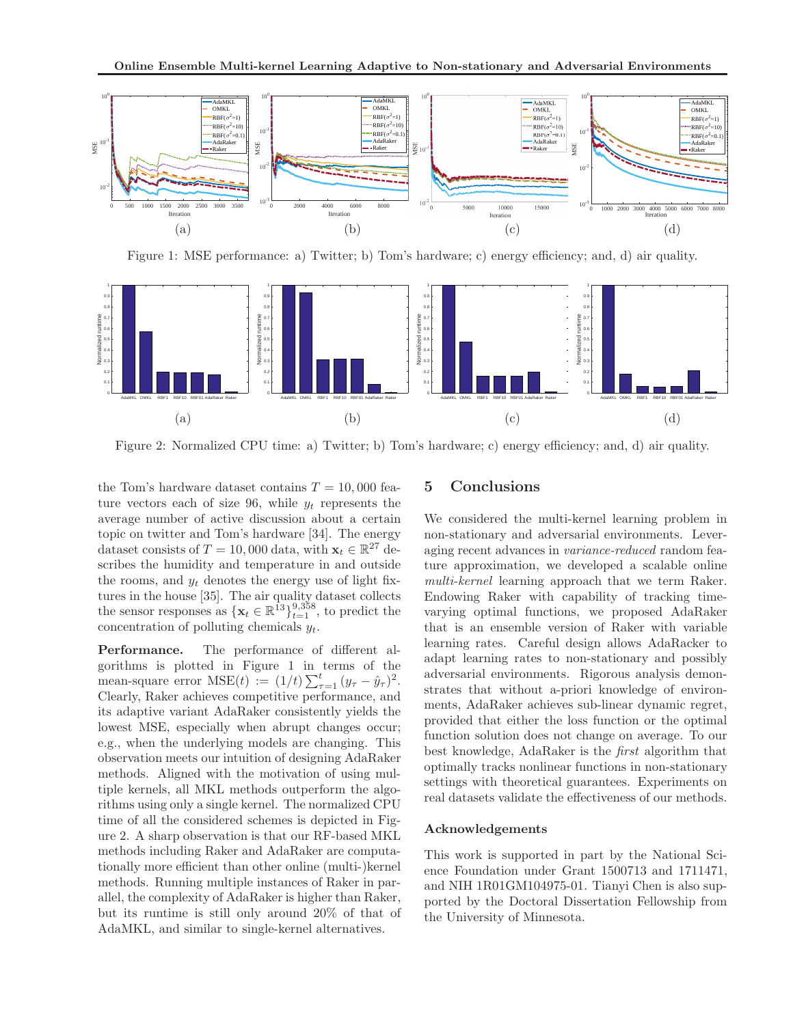

Figure 1: MSE performance: a) Twitter; b) Tom's hardware; c) energy efficiency; and, d) air quality.



Figure 2: Normalized CPU time: a) Twitter; b) Tom's hardware; c) energy efficiency; and, d) air quality.

the Tom's hardware dataset contains  $T = 10,000$  feature vectors each of size 96, while  $y_t$  represents the average number of active discussion about a certain topic on twitter and Tom's hardware [34]. The energy dataset consists of  $T = 10,000$  data, with  $\mathbf{x}_t \in \mathbb{R}^{27}$  describes the humidity and temperature in and outside the rooms, and  $y_t$  denotes the energy use of light fixtures in the house [35]. The air quality dataset collects the sensor responses as  $\{\mathbf x_t \in \mathbb{R}^{13}\}_{t=1}^{9,358}$ , to predict the concentration of polluting chemicals  $y_t$ .

Performance. The performance of different algorithms is plotted in Figure 1 in terms of the mean-square error  $MSE(t) := (1/t) \sum_{\tau=1}^{t} (y_{\tau} - \hat{y}_{\tau})^2$ . Clearly, Raker achieves competitive performance, and its adaptive variant AdaRaker consistently yields the lowest MSE, especially when abrupt changes occur; e.g., when the underlying models are changing. This observation meets our intuition of designing AdaRaker methods. Aligned with the motivation of using multiple kernels, all MKL methods outperform the algorithms using only a single kernel. The normalized CPU time of all the considered schemes is depicted in Figure 2. A sharp observation is that our RF-based MKL methods including Raker and AdaRaker are computationally more efficient than other online (multi-)kernel methods. Running multiple instances of Raker in parallel, the complexity of AdaRaker is higher than Raker, but its runtime is still only around 20% of that of AdaMKL, and similar to single-kernel alternatives.

### 5 Conclusions

We considered the multi-kernel learning problem in non-stationary and adversarial environments. Leveraging recent advances in *variance-reduced* random feature approximation, we developed a scalable online *multi-kernel* learning approach that we term Raker. Endowing Raker with capability of tracking timevarying optimal functions, we proposed AdaRaker that is an ensemble version of Raker with variable learning rates. Careful design allows AdaRacker to adapt learning rates to non-stationary and possibly adversarial environments. Rigorous analysis demonstrates that without a-priori knowledge of environments, AdaRaker achieves sub-linear dynamic regret, provided that either the loss function or the optimal function solution does not change on average. To our best knowledge, AdaRaker is the *first* algorithm that optimally tracks nonlinear functions in non-stationary settings with theoretical guarantees. Experiments on real datasets validate the effectiveness of our methods.

#### Acknowledgements

This work is supported in part by the National Science Foundation under Grant 1500713 and 1711471, and NIH 1R01GM104975-01. Tianyi Chen is also supported by the Doctoral Dissertation Fellowship from the University of Minnesota.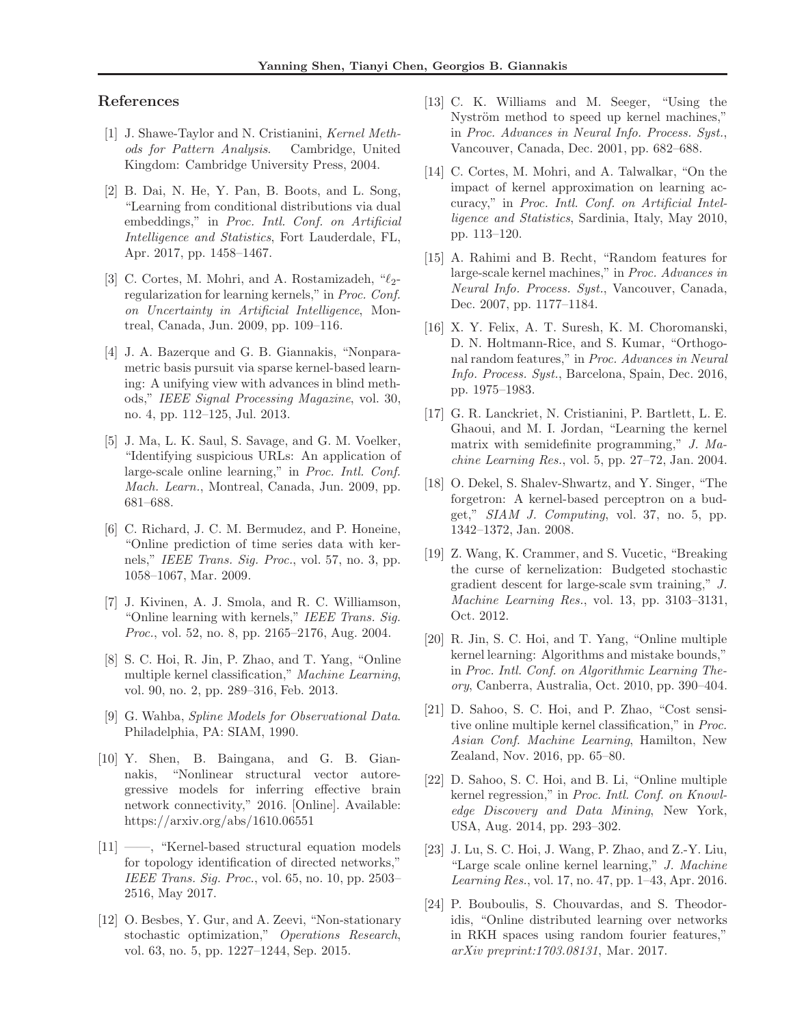### References

- [1] J. Shawe-Taylor and N. Cristianini, *Kernel Methods for Pattern Analysis*. Cambridge, United Kingdom: Cambridge University Press, 2004.
- [2] B. Dai, N. He, Y. Pan, B. Boots, and L. Song, "Learning from conditional distributions via dual embeddings," in *Proc. Intl. Conf. on Artificial Intelligence and Statistics*, Fort Lauderdale, FL, Apr. 2017, pp. 1458–1467.
- [3] C. Cortes, M. Mohri, and A. Rostamizadeh,  $\mathscr{C}_2$ regularization for learning kernels," in *Proc. Conf. on Uncertainty in Artificial Intelligence*, Montreal, Canada, Jun. 2009, pp. 109–116.
- [4] J. A. Bazerque and G. B. Giannakis, "Nonparametric basis pursuit via sparse kernel-based learning: A unifying view with advances in blind methods," *IEEE Signal Processing Magazine*, vol. 30, no. 4, pp. 112–125, Jul. 2013.
- [5] J. Ma, L. K. Saul, S. Savage, and G. M. Voelker, "Identifying suspicious URLs: An application of large-scale online learning," in *Proc. Intl. Conf. Mach. Learn.*, Montreal, Canada, Jun. 2009, pp. 681–688.
- [6] C. Richard, J. C. M. Bermudez, and P. Honeine, "Online prediction of time series data with kernels," *IEEE Trans. Sig. Proc.*, vol. 57, no. 3, pp. 1058–1067, Mar. 2009.
- [7] J. Kivinen, A. J. Smola, and R. C. Williamson, "Online learning with kernels," *IEEE Trans. Sig. Proc.*, vol. 52, no. 8, pp. 2165–2176, Aug. 2004.
- [8] S. C. Hoi, R. Jin, P. Zhao, and T. Yang, "Online multiple kernel classification," *Machine Learning*, vol. 90, no. 2, pp. 289–316, Feb. 2013.
- [9] G. Wahba, *Spline Models for Observational Data*. Philadelphia, PA: SIAM, 1990.
- [10] Y. Shen, B. Baingana, and G. B. Giannakis, "Nonlinear structural vector autoregressive models for inferring effective brain network connectivity," 2016. [Online]. Available: https://arxiv.org/abs/1610.06551
- [11] ——, "Kernel-based structural equation models for topology identification of directed networks," *IEEE Trans. Sig. Proc.*, vol. 65, no. 10, pp. 2503– 2516, May 2017.
- [12] O. Besbes, Y. Gur, and A. Zeevi, "Non-stationary stochastic optimization," *Operations Research*, vol. 63, no. 5, pp. 1227–1244, Sep. 2015.
- [13] C. K. Williams and M. Seeger, "Using the Nyström method to speed up kernel machines," in *Proc. Advances in Neural Info. Process. Syst.*, Vancouver, Canada, Dec. 2001, pp. 682–688.
- [14] C. Cortes, M. Mohri, and A. Talwalkar, "On the impact of kernel approximation on learning accuracy," in *Proc. Intl. Conf. on Artificial Intelligence and Statistics*, Sardinia, Italy, May 2010, pp. 113–120.
- [15] A. Rahimi and B. Recht, "Random features for large-scale kernel machines," in *Proc. Advances in Neural Info. Process. Syst.*, Vancouver, Canada, Dec. 2007, pp. 1177–1184.
- [16] X. Y. Felix, A. T. Suresh, K. M. Choromanski, D. N. Holtmann-Rice, and S. Kumar, "Orthogonal random features," in *Proc. Advances in Neural Info. Process. Syst.*, Barcelona, Spain, Dec. 2016, pp. 1975–1983.
- [17] G. R. Lanckriet, N. Cristianini, P. Bartlett, L. E. Ghaoui, and M. I. Jordan, "Learning the kernel matrix with semidefinite programming," *J. Machine Learning Res.*, vol. 5, pp. 27–72, Jan. 2004.
- [18] O. Dekel, S. Shalev-Shwartz, and Y. Singer, "The forgetron: A kernel-based perceptron on a budget," *SIAM J. Computing*, vol. 37, no. 5, pp. 1342–1372, Jan. 2008.
- [19] Z. Wang, K. Crammer, and S. Vucetic, "Breaking the curse of kernelization: Budgeted stochastic gradient descent for large-scale svm training," *J. Machine Learning Res.*, vol. 13, pp. 3103–3131, Oct. 2012.
- [20] R. Jin, S. C. Hoi, and T. Yang, "Online multiple kernel learning: Algorithms and mistake bounds," in *Proc. Intl. Conf. on Algorithmic Learning Theory*, Canberra, Australia, Oct. 2010, pp. 390–404.
- [21] D. Sahoo, S. C. Hoi, and P. Zhao, "Cost sensitive online multiple kernel classification," in *Proc. Asian Conf. Machine Learning*, Hamilton, New Zealand, Nov. 2016, pp. 65–80.
- [22] D. Sahoo, S. C. Hoi, and B. Li, "Online multiple kernel regression," in *Proc. Intl. Conf. on Knowledge Discovery and Data Mining*, New York, USA, Aug. 2014, pp. 293–302.
- [23] J. Lu, S. C. Hoi, J. Wang, P. Zhao, and Z.-Y. Liu, "Large scale online kernel learning," *J. Machine Learning Res.*, vol. 17, no. 47, pp. 1–43, Apr. 2016.
- [24] P. Bouboulis, S. Chouvardas, and S. Theodoridis, "Online distributed learning over networks in RKH spaces using random fourier features," *arXiv preprint:1703.08131*, Mar. 2017.